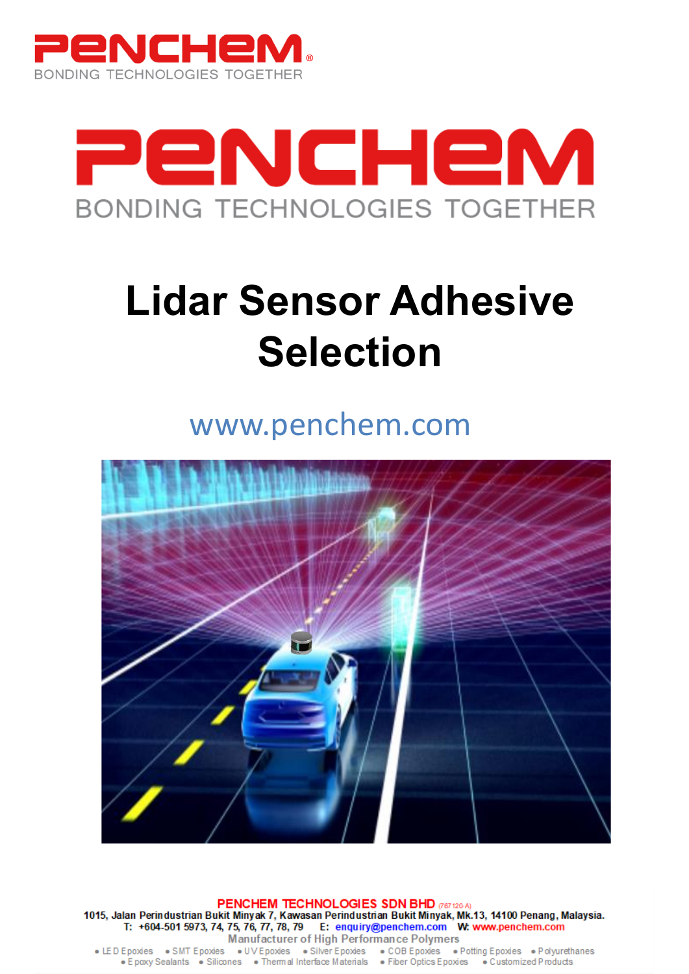



# **Lidar Sensor Adhesive Selection**

www.penchem.com



PENCHEM TECHNOLOGIES SDN BHD (767120-A) 1015, Jalan Perindustrian Bukit Minyak 7, Kawasan Perindustrian Bukit Minyak, Mk.13, 14100 Penang, Malaysia.<br>T: +604-501 5973, 74, 75, 76, 77, 78, 79 E: enquiry@penchem.com W: www.penchem.com Manufacturer of High Performance Polymers

• LED Epoxies • SMT Epoxies • UV Epoxies • Silver Epoxies • COB Epoxies • Potting Epoxies • Polyurethanes<br>• Epoxy Sealants • Silicones • Thermal Interface Materials • Fiber Optics Epoxies • Customized Products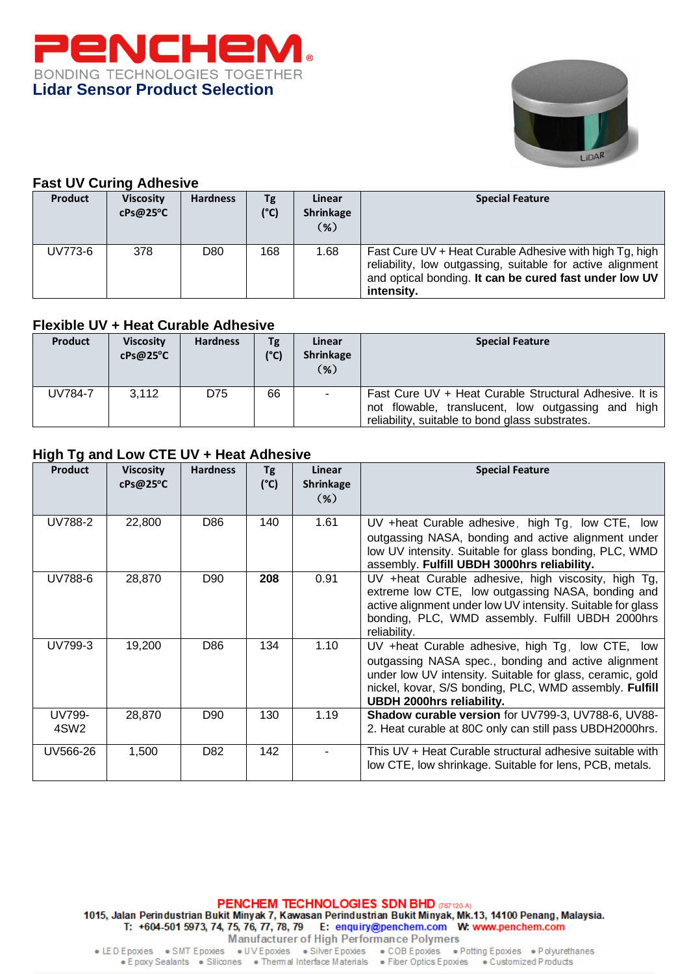



#### **Fast UV Curing Adhesive**

| <b>Product</b> | <b>Viscosity</b><br>cPs@25°C | <b>Hardness</b> | Tg<br>(°C) | Linear<br><b>Shrinkage</b><br>$(\% )$ | <b>Special Feature</b>                                                                                                                                                                            |
|----------------|------------------------------|-----------------|------------|---------------------------------------|---------------------------------------------------------------------------------------------------------------------------------------------------------------------------------------------------|
| UV773-6        | 378                          | D80             | 168        | 1.68                                  | Fast Cure UV + Heat Curable Adhesive with high Tg, high  <br>reliability, low outgassing, suitable for active alignment  <br>and optical bonding. It can be cured fast under low UV<br>intensity. |

#### **Flexible UV + Heat Curable Adhesive**

| <b>Product</b> | <b>Viscosity</b><br>cPs@25°C | <b>Hardness</b> | Tg<br>(C) | Linear<br>Shrinkage<br>$(\%)$ | <b>Special Feature</b>                                                                                                                                          |
|----------------|------------------------------|-----------------|-----------|-------------------------------|-----------------------------------------------------------------------------------------------------------------------------------------------------------------|
| UV784-7        | 3.112                        | D75             | 66        | $\sim$                        | Fast Cure UV + Heat Curable Structural Adhesive. It is<br>not flowable, translucent, low outgassing and high<br>reliability, suitable to bond glass substrates. |

## **High Tg and Low CTE UV + Heat Adhesive**

| <b>Product</b>             | <b>Viscosity</b><br>cPs@25°C | <b>Hardness</b> | Tg<br>$(^{\circ}C)$ | Linear<br><b>Shrinkage</b><br>$(\%)$ | <b>Special Feature</b>                                                                                                                                                                                                                                                |
|----------------------------|------------------------------|-----------------|---------------------|--------------------------------------|-----------------------------------------------------------------------------------------------------------------------------------------------------------------------------------------------------------------------------------------------------------------------|
| UV788-2                    | 22,800                       | D86             | 140                 | 1.61                                 | UV +heat Curable adhesive, high Tg, low CTE, low<br>outgassing NASA, bonding and active alignment under<br>low UV intensity. Suitable for glass bonding, PLC, WMD<br>assembly. Fulfill UBDH 3000hrs reliability.                                                      |
| UV788-6                    | 28,870                       | D90             | 208                 | 0.91                                 | UV +heat Curable adhesive, high viscosity, high Tg,<br>extreme low CTE, low outgassing NASA, bonding and<br>active alignment under low UV intensity. Suitable for glass<br>bonding, PLC, WMD assembly. Fulfill UBDH 2000hrs<br>reliability.                           |
| UV799-3                    | 19,200                       | D86             | 134                 | 1.10                                 | UV +heat Curable adhesive, high Tg, low CTE,<br>low<br>outgassing NASA spec., bonding and active alignment<br>under low UV intensity. Suitable for glass, ceramic, gold<br>nickel, kovar, S/S bonding, PLC, WMD assembly. Fulfill<br><b>UBDH 2000hrs reliability.</b> |
| UV799-<br>4SW <sub>2</sub> | 28,870                       | D90             | 130                 | 1.19                                 | Shadow curable version for UV799-3, UV788-6, UV88-<br>2. Heat curable at 80C only can still pass UBDH2000hrs.                                                                                                                                                         |
| UV566-26                   | 1,500                        | D82             | 142                 |                                      | This UV + Heat Curable structural adhesive suitable with<br>low CTE, low shrinkage. Suitable for lens, PCB, metals.                                                                                                                                                   |

PENCHEM TECHNOLOGIES SDN BHD (187120-A) 1015, Jalan Perindustrian Bukit Minyak 7, Kawasan Perindustrian Bukit Minyak, Mk.13, 14100 Penang, Malaysia.<br>T: +604-501 5973, 74, 75, 76, 77, 78, 79 E: enquiry@penchem.com W: www.penchem.com Manufacturer of High Performance Polymers

• LED Epoxies • SMT Epoxies • UV Epoxies • Silver Epoxies • COB Epoxies • Potting Epoxies • Polyurethanes<br>• Epoxy Sealants • Silicones • Thermal Interface Materials • Fiber Optics Epoxies • Customized Products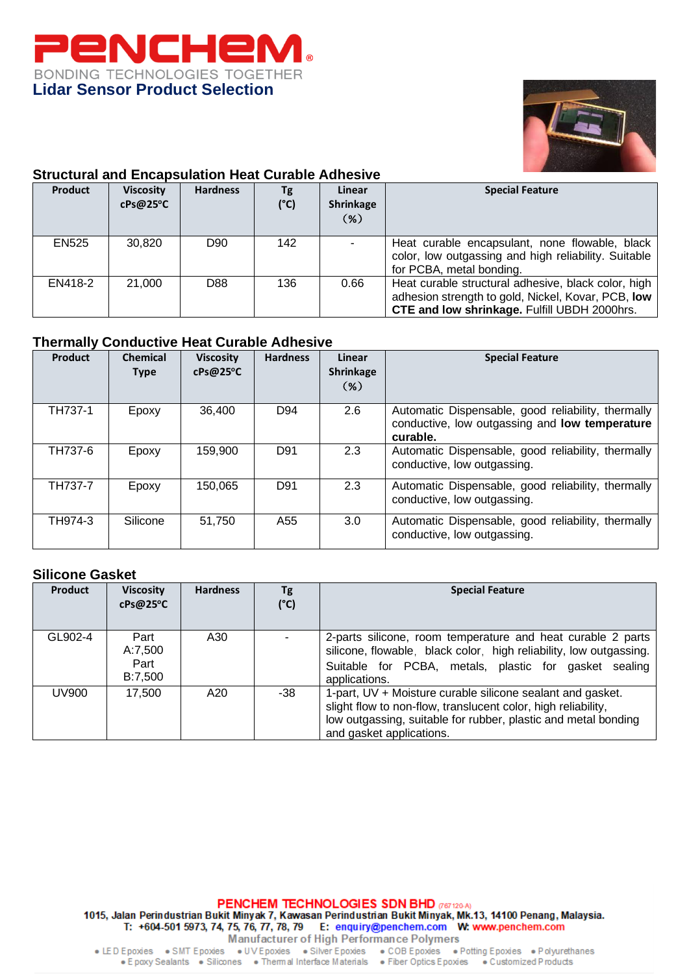



## **Structural and Encapsulation Heat Curable Adhesive**

| <b>Product</b> | <b>Viscosity</b><br>cPs@25°C | <b>Hardness</b> | Tg<br>$(^{\circ}C)$ | Linear<br><b>Shrinkage</b><br>(%) | <b>Special Feature</b>                                                                                                                                    |
|----------------|------------------------------|-----------------|---------------------|-----------------------------------|-----------------------------------------------------------------------------------------------------------------------------------------------------------|
| <b>EN525</b>   | 30,820                       | D <sub>90</sub> | 142                 |                                   | Heat curable encapsulant, none flowable, black<br>color, low outgassing and high reliability. Suitable<br>for PCBA, metal bonding.                        |
| EN418-2        | 21,000                       | D88             | 136                 | 0.66                              | Heat curable structural adhesive, black color, high<br>adhesion strength to gold, Nickel, Kovar, PCB, low<br>CTE and low shrinkage. Fulfill UBDH 2000hrs. |

## **Thermally Conductive Heat Curable Adhesive**

| Product | <b>Chemical</b><br><b>Type</b> | <b>Viscosity</b><br>cPs@25°C | <b>Hardness</b> | Linear<br><b>Shrinkage</b><br>$(\%)$ | <b>Special Feature</b>                                                                                           |
|---------|--------------------------------|------------------------------|-----------------|--------------------------------------|------------------------------------------------------------------------------------------------------------------|
| TH737-1 | Epoxy                          | 36.400                       | D94             | 2.6                                  | Automatic Dispensable, good reliability, thermally<br>conductive, low outgassing and low temperature<br>curable. |
| TH737-6 | Epoxy                          | 159.900                      | D91             | 2.3                                  | Automatic Dispensable, good reliability, thermally<br>conductive, low outgassing.                                |
| TH737-7 | Epoxy                          | 150.065                      | D91             | 2.3                                  | Automatic Dispensable, good reliability, thermally<br>conductive, low outgassing.                                |
| TH974-3 | Silicone                       | 51.750                       | A55             | 3.0                                  | Automatic Dispensable, good reliability, thermally<br>conductive, low outgassing.                                |

#### **Silicone Gasket**

| <b>Product</b> | <b>Viscosity</b><br>cPs@25°C       | <b>Hardness</b> | Tg<br>$(^{\circ}C)$ | <b>Special Feature</b>                                                                                                                                                                                                    |
|----------------|------------------------------------|-----------------|---------------------|---------------------------------------------------------------------------------------------------------------------------------------------------------------------------------------------------------------------------|
| GL902-4        | Part<br>A:7,500<br>Part<br>B:7,500 | A30             |                     | 2-parts silicone, room temperature and heat curable 2 parts<br>silicone, flowable, black color, high reliability, low outgassing.<br>Suitable for PCBA, metals, plastic for gasket sealing<br>applications.               |
| <b>UV900</b>   | 17.500                             | A20             | -38                 | 1-part, UV + Moisture curable silicone sealant and gasket.<br>slight flow to non-flow, translucent color, high reliability,<br>low outgassing, suitable for rubber, plastic and metal bonding<br>and gasket applications. |

PENCHEM TECHNOLOGIES SDN BHD (187120-A) 1015, Jalan Perindustrian Bukit Minyak 7, Kawasan Perindustrian Bukit Minyak, Mk.13, 14100 Penang, Malaysia.<br>T: +604-501 5973, 74, 75, 76, 77, 78, 79 E: enquiry@penchem.com W: www.penchem.com Manufacturer of High Performance Polymers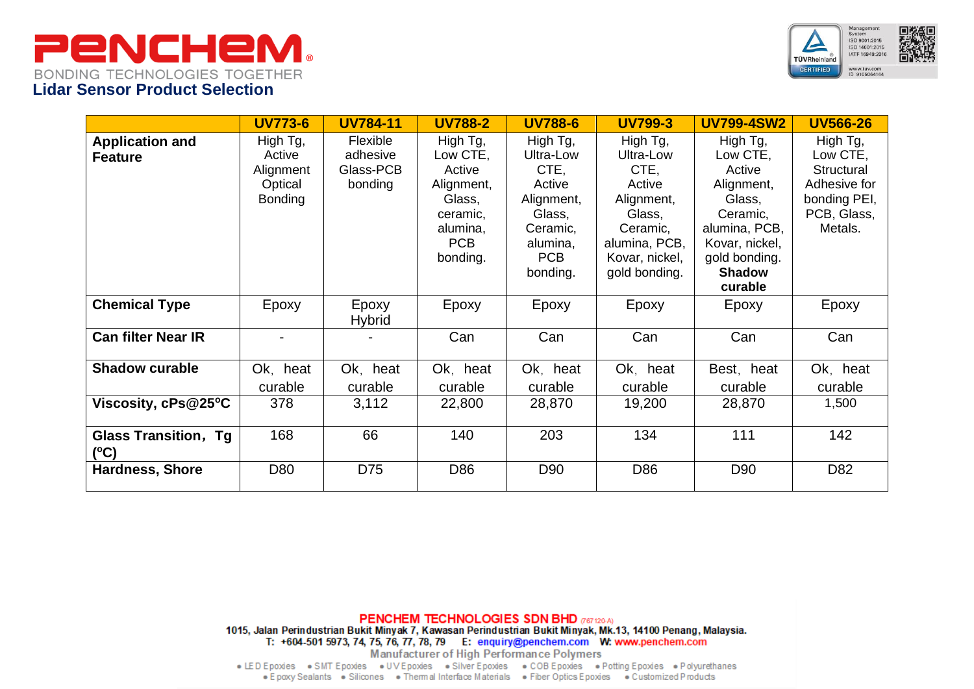



|                                              | <b>UV773-6</b>                                               | <b>UV784-11</b>                                     | <b>UV788-2</b>                                                                                    | <b>UV788-6</b>                                                                                                    | <b>UV799-3</b>                                                                                                                  | <b>UV799-4SW2</b>                                                                                                                                  | <b>UV566-26</b>                                                                              |
|----------------------------------------------|--------------------------------------------------------------|-----------------------------------------------------|---------------------------------------------------------------------------------------------------|-------------------------------------------------------------------------------------------------------------------|---------------------------------------------------------------------------------------------------------------------------------|----------------------------------------------------------------------------------------------------------------------------------------------------|----------------------------------------------------------------------------------------------|
| <b>Application and</b><br><b>Feature</b>     | High Tg,<br>Active<br>Alignment<br>Optical<br><b>Bonding</b> | <b>Flexible</b><br>adhesive<br>Glass-PCB<br>bonding | High Tg,<br>Low CTE,<br>Active<br>Alignment,<br>Glass,<br>ceramic,<br>alumina,<br>PCB<br>bonding. | High Tg,<br>Ultra-Low<br>CTE,<br>Active<br>Alignment,<br>Glass,<br>Ceramic,<br>alumina,<br><b>PCB</b><br>bonding. | High Tg,<br>Ultra-Low<br>CTE,<br>Active<br>Alignment,<br>Glass,<br>Ceramic,<br>alumina, PCB,<br>Kovar, nickel,<br>gold bonding. | High Tg,<br>Low CTE,<br>Active<br>Alignment,<br>Glass,<br>Ceramic,<br>alumina, PCB,<br>Kovar, nickel,<br>gold bonding.<br><b>Shadow</b><br>curable | High Tg,<br>Low CTE,<br>Structural<br>Adhesive for<br>bonding PEI,<br>PCB, Glass,<br>Metals. |
| <b>Chemical Type</b>                         | Epoxy                                                        | Epoxy<br><b>Hybrid</b>                              | Epoxy                                                                                             | Epoxy                                                                                                             | Epoxy                                                                                                                           | Epoxy                                                                                                                                              | Epoxy                                                                                        |
| <b>Can filter Near IR</b>                    |                                                              |                                                     | Can                                                                                               | Can                                                                                                               | Can                                                                                                                             | Can                                                                                                                                                | Can                                                                                          |
| <b>Shadow curable</b>                        | Ok, heat<br>curable                                          | Ok, heat<br>curable                                 | Ok, heat<br>curable                                                                               | Ok, heat<br>curable                                                                                               | Ok, heat<br>curable                                                                                                             | Best, heat<br>curable                                                                                                                              | Ok, heat<br>curable                                                                          |
| Viscosity, cPs@25°C                          | 378                                                          | 3,112                                               | 22,800                                                                                            | 28,870                                                                                                            | 19,200                                                                                                                          | 28,870                                                                                                                                             | 1,500                                                                                        |
| <b>Glass Transition, Tg</b><br>$(^{\circ}C)$ | 168                                                          | 66                                                  | 140                                                                                               | 203                                                                                                               | 134                                                                                                                             | 111                                                                                                                                                | 142                                                                                          |
| <b>Hardness, Shore</b>                       | D80                                                          | D75                                                 | D86                                                                                               | D <sub>90</sub>                                                                                                   | D86                                                                                                                             | D90                                                                                                                                                | D82                                                                                          |

**PENCHEM TECHNOLOGIES SDN BHD** (767120-A) 1015, Jalan Perindustrian Bukit Minyak 7, Kawasan Perindustrian Bukit Minyak, Mk.13, 14100 Penang, Malaysia. T: +604-501 5973, 74, 75, 76, 77, 78, 79 E: enquiry@penchem.com W: www.penchem.com

Manufacturer of High Performance Polymers

• LED Epoxies • SMT Epoxies • UV Epoxies • Silver Epoxies • COB Epoxies • Potting Epoxies • Polyurethanes . E poxy Sealants . Silicones . Thermal Interface Materials . Fiber Optics E poxies . Customized P roducts